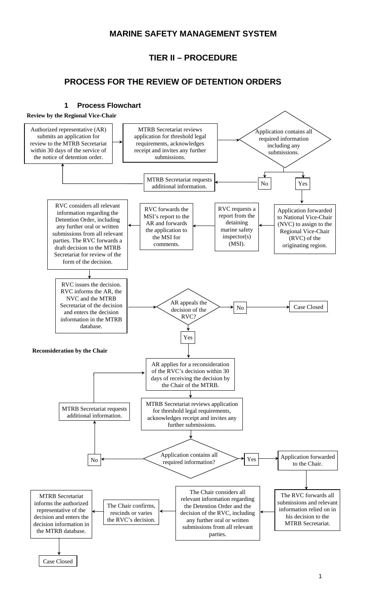## **MARINE SAFETY MANAGEMENT SYSTEM**

# **TIER II – PROCEDURE**

# **PROCESS FOR THE REVIEW OF DETENTION ORDERS**

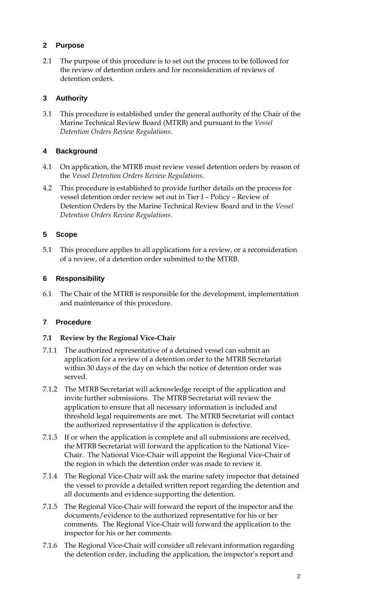## **2 Purpose**

2.1 The purpose of this procedure is to set out the process to be followed for the review of detention orders and for reconsideration of reviews of detention orders.

## **3 Authority**

3.1 This procedure is established under the general authority of the Chair of the Marine Technical Review Board (MTRB) and pursuant to the *Vessel Detention Orders Review Regulations*.

## **4 Background**

- 4.1 On application, the MTRB must review vessel detention orders by reason of the *Vessel Detention Orders Review Regulations*.
- 4.2 This procedure is established to provide further details on the process for vessel detention order review set out in Tier I – Policy – Review of Detention Orders by the Marine Technical Review Board and in the *Vessel Detention Orders Review Regulations*.

## **5 Scope**

5.1 This procedure applies to all applications for a review, or a reconsideration of a review, of a detention order submitted to the MTRB.

## **6 Responsibility**

6.1 The Chair of the MTRB is responsible for the development, implementation and maintenance of this procedure.

## **7 Procedure**

## **7.1 Review by the Regional Vice-Chair**

- 7.1.1 The authorized representative of a detained vessel can submit an application for a review of a detention order to the MTRB Secretariat within 30 days of the day on which the notice of detention order was served.
- 7.1.2 The MTRB Secretariat will acknowledge receipt of the application and invite further submissions. The MTRB Secretariat will review the application to ensure that all necessary information is included and threshold legal requirements are met. The MTRB Secretariat will contact the authorized representative if the application is defective.
- 7.1.3 If or when the application is complete and all submissions are received, the MTRB Secretariat will forward the application to the National Vice-Chair. The National Vice-Chair will appoint the Regional Vice-Chair of the region in which the detention order was made to review it.
- 7.1.4 The Regional Vice-Chair will ask the marine safety inspector that detained the vessel to provide a detailed written report regarding the detention and all documents and evidence supporting the detention.
- 7.1.5 The Regional Vice-Chair will forward the report of the inspector and the documents/evidence to the authorized representative for his or her comments. The Regional Vice-Chair will forward the application to the inspector for his or her comments.
- 7.1.6 The Regional Vice-Chair will consider all relevant information regarding the detention order, including the application, the inspector's report and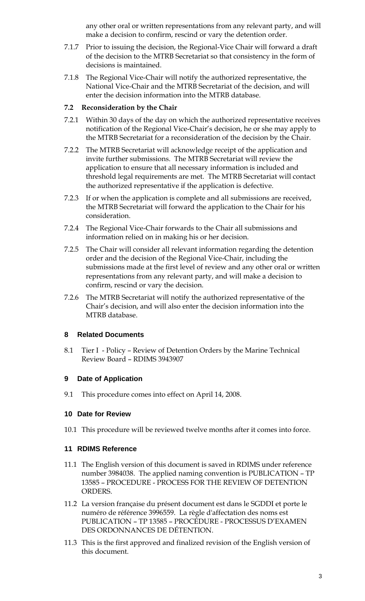any other oral or written representations from any relevant party, and will make a decision to confirm, rescind or vary the detention order.

- 7.1.7 Prior to issuing the decision, the Regional-Vice Chair will forward a draft of the decision to the MTRB Secretariat so that consistency in the form of decisions is maintained.
- 7.1.8 The Regional Vice-Chair will notify the authorized representative, the National Vice-Chair and the MTRB Secretariat of the decision, and will enter the decision information into the MTRB database.

## **7.2 Reconsideration by the Chair**

- 7.2.1 Within 30 days of the day on which the authorized representative receives notification of the Regional Vice-Chair's decision, he or she may apply to the MTRB Secretariat for a reconsideration of the decision by the Chair.
- 7.2.2 The MTRB Secretariat will acknowledge receipt of the application and invite further submissions. The MTRB Secretariat will review the application to ensure that all necessary information is included and threshold legal requirements are met. The MTRB Secretariat will contact the authorized representative if the application is defective.
- 7.2.3 If or when the application is complete and all submissions are received, the MTRB Secretariat will forward the application to the Chair for his consideration.
- 7.2.4 The Regional Vice-Chair forwards to the Chair all submissions and information relied on in making his or her decision.
- 7.2.5 The Chair will consider all relevant information regarding the detention order and the decision of the Regional Vice-Chair, including the submissions made at the first level of review and any other oral or written representations from any relevant party, and will make a decision to confirm, rescind or vary the decision.
- 7.2.6 The MTRB Secretariat will notify the authorized representative of the Chair's decision, and will also enter the decision information into the MTRB database.

## **8 Related Documents**

8.1 Tier I - Policy – Review of Detention Orders by the Marine Technical Review Board – RDIMS 3943907

## **9 Date of Application**

9.1 This procedure comes into effect on April 14, 2008.

## **10 Date for Review**

10.1 This procedure will be reviewed twelve months after it comes into force.

## **11 RDIMS Reference**

- 11.1 The English version of this document is saved in RDIMS under reference number 3984038. The applied naming convention is PUBLICATION – TP 13585 – PROCEDURE - PROCESS FOR THE REVIEW OF DETENTION ORDERS.
- 11.2 La version française du présent document est dans le SGDDI et porte le numéro de référence 3996559. La règle d'affectation des noms est PUBLICATION – TP 13585 – PROCÉDURE - PROCESSUS D'EXAMEN DES ORDONNANCES DE DÉTENTION.
- 11.3 This is the first approved and finalized revision of the English version of this document.